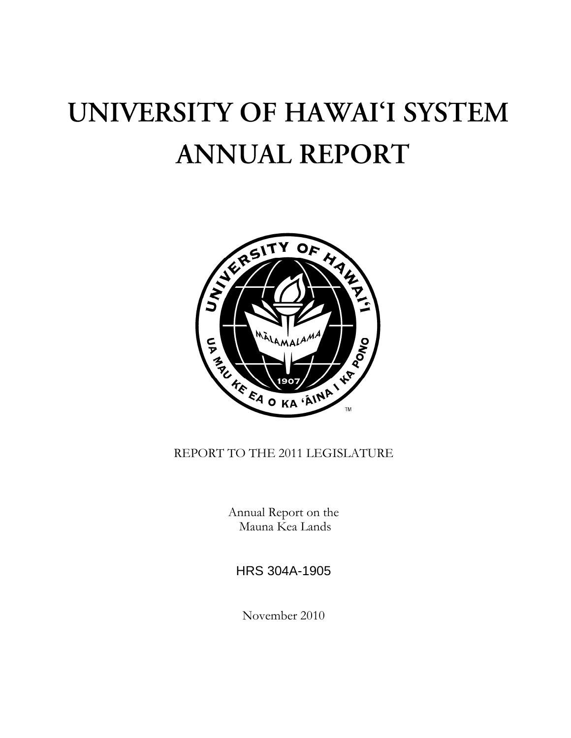# UNIVERSITY OF HAWAI'I SYSTEM **ANNUAL REPORT**



REPORT TO THE 2011 LEGISLATURE

Annual Report on the Mauna Kea Lands

HRS 304A-1905

November 2010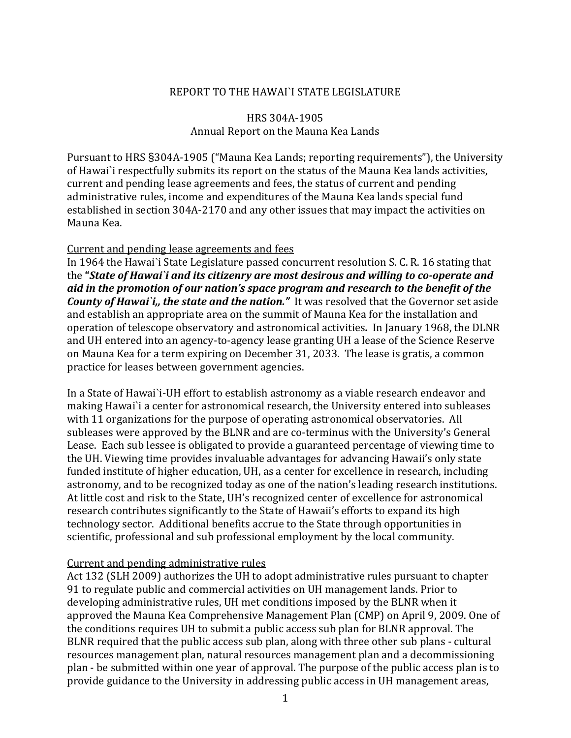### REPORT TO THE HAWAI`I STATE LEGISLATURE

## HRS 304A‐1905 Annual Report on the Mauna Kea Lands

Pursuant to HRS §304A‐1905 ("Mauna Kea Lands; reporting requirements"), the University of Hawai`i respectfully submits its report on the status of the Mauna Kea lands activities, current and pending lease agreements and fees, the status of current and pending administrative rules, income and expenditures of the Mauna Kea lands special fund established in section 304A‐2170 and any other issues that may impact the activities on Mauna Kea.

#### Current and pending lease agreements and fees

In 1964 the Hawai`i State Legislature passed concurrent resolution S. C. R. 16 stating that the **"***State of Hawai`i and its citizenry are most desirous and willing to cooperate and aid in the promotion of our nation's space program and research to the benefit of the County of Hawai`i,, the state and the nation."* It was resolved that the Governor set aside and establish an appropriate area on the summit of Mauna Kea for the installation and operation of telescope observatory and astronomical activities*.* In January 1968, the DLNR and UH entered into an agency‐to‐agency lease granting UH a lease of the Science Reserve on Mauna Kea for a term expiring on December 31, 2033. The lease is gratis, a common practice for leases between government agencies.

In a State of Hawai`i-UH effort to establish astronomy as a viable research endeavor and making Hawai`i a center for astronomical research, the University entered into subleases with 11 organizations for the purpose of operating astronomical observatories. All subleases were approved by the BLNR and are co‐terminus with the University's General Lease. Each sub lessee is obligated to provide a guaranteed percentage of viewing time to the UH. Viewing time provides invaluable advantages for advancing Hawaii's only state funded institute of higher education, UH, as a center for excellence in research, including astronomy, and to be recognized today as one of the nation's leading research institutions. At little cost and risk to the State, UH's recognized center of excellence for astronomical research contributes significantly to the State of Hawaii's efforts to expand its high technology sector. Additional benefits accrue to the State through opportunities in scientific, professional and sub professional employment by the local community.

# Current and pending administrative rules

Act 132 (SLH 2009) authorizes the UH to adopt administrative rules pursuant to chapter 91 to regulate public and commercial activities on UH management lands. Prior to developing administrative rules, UH met conditions imposed by the BLNR when it approved the Mauna Kea Comprehensive Management Plan (CMP) on April 9, 2009. One of the conditions requires UH to submit a public access sub plan for BLNR approval. The BLNR required that the public access sub plan, along with three other sub plans ‐ cultural resources management plan, natural resources management plan and a decommissioning plan ‐ be submitted within one year of approval. The purpose of the public access plan is to provide guidance to the University in addressing public access in UH management areas,